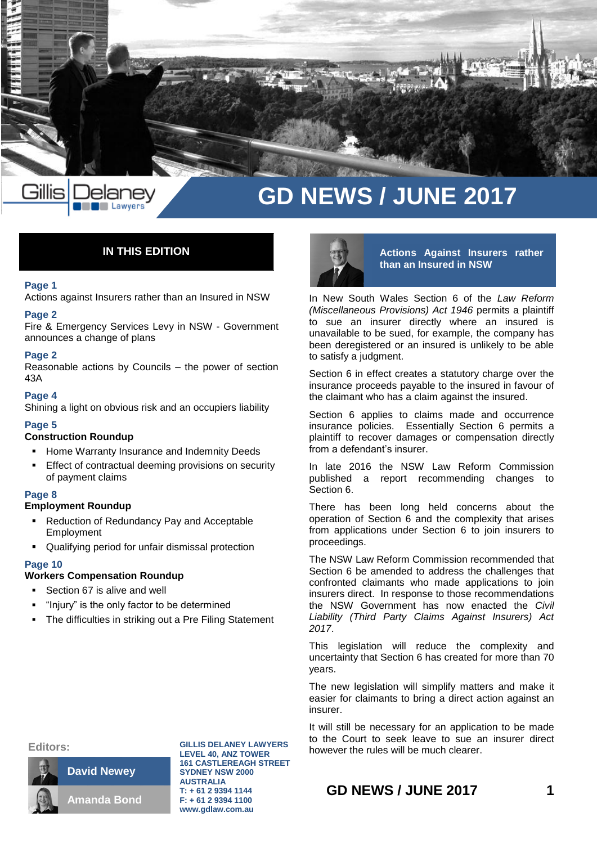

# **IN THIS EDITION**

## **Page 1**

Actions against Insurers rather than an Insured in NSW

## **Page 2**

Fire & Emergency Services Levy in NSW - Government announces a change of plans

## **Page 2**

Reasonable actions by Councils – the power of section 43A

## **Page 4**

Shining a light on obvious risk and an occupiers liability

# **Page 5**

# **Construction Roundup**

- Home Warranty Insurance and Indemnity Deeds
- Effect of contractual deeming provisions on security of payment claims

## **Page 8**

#### **Employment Roundup**

- Reduction of Redundancy Pay and Acceptable Employment
- Qualifying period for unfair dismissal protection

#### **Page 10**

## **Workers Compensation Roundup**

- Section 67 is alive and well
- "Injury" is the only factor to be determined
- The difficulties in striking out a Pre Filing Statement



**Actions Against Insurers rather than an Insured in NSW**

In New South Wales Section 6 of the *Law Reform (Miscellaneous Provisions) Act 1946* permits a plaintiff to sue an insurer directly where an insured is unavailable to be sued, for example, the company has been deregistered or an insured is unlikely to be able to satisfy a judgment.

Section 6 in effect creates a statutory charge over the insurance proceeds payable to the insured in favour of the claimant who has a claim against the insured.

Section 6 applies to claims made and occurrence insurance policies. Essentially Section 6 permits a plaintiff to recover damages or compensation directly from a defendant's insurer.

In late 2016 the NSW Law Reform Commission published a report recommending changes to Section 6.

There has been long held concerns about the operation of Section 6 and the complexity that arises from applications under Section 6 to join insurers to proceedings.

The NSW Law Reform Commission recommended that Section 6 be amended to address the challenges that confronted claimants who made applications to join insurers direct. In response to those recommendations the NSW Government has now enacted the *Civil Liability (Third Party Claims Against Insurers) Act 2017*.

This legislation will reduce the complexity and uncertainty that Section 6 has created for more than 70 years.

The new legislation will simplify matters and make it easier for claimants to bring a direct action against an insurer.

It will still be necessary for an application to be made to the Court to seek leave to sue an insurer direct however the rules will be much clearer.



**GILLIS DELANEY LAWYERS LEVEL 40, ANZ TOWER 161 CASTLEREAGH STREET SYDNEY NSW 2000 AUSTRALIA T: + 61 2 9394 1144 F: + 61 2 9394 1100 www.gdlaw.com.au**

**GD NEWS / JUNE 2017 1**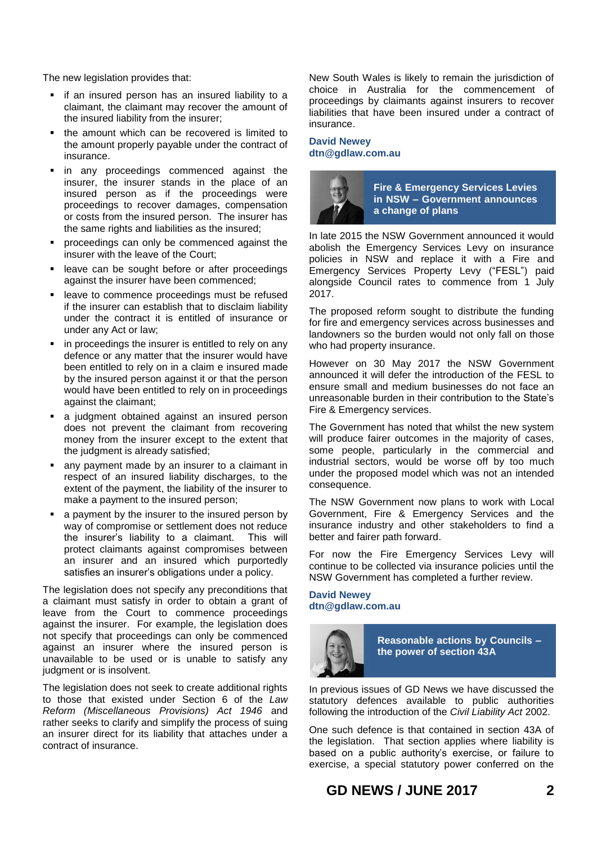The new legislation provides that:

- **if an insured person has an insured liability to a** claimant, the claimant may recover the amount of the insured liability from the insurer;
- the amount which can be recovered is limited to the amount properly payable under the contract of insurance.
- **n** in any proceedings commenced against the insurer, the insurer stands in the place of an insured person as if the proceedings were proceedings to recover damages, compensation or costs from the insured person. The insurer has the same rights and liabilities as the insured;
- proceedings can only be commenced against the insurer with the leave of the Court;
- leave can be sought before or after proceedings against the insurer have been commenced;
- **EXEC** leave to commence proceedings must be refused if the insurer can establish that to disclaim liability under the contract it is entitled of insurance or under any Act or law;
- in proceedings the insurer is entitled to rely on any defence or any matter that the insurer would have been entitled to rely on in a claim e insured made by the insured person against it or that the person would have been entitled to rely on in proceedings against the claimant;
- a judgment obtained against an insured person does not prevent the claimant from recovering money from the insurer except to the extent that the judgment is already satisfied;
- **a** any payment made by an insurer to a claimant in respect of an insured liability discharges, to the extent of the payment, the liability of the insurer to make a payment to the insured person;
- a payment by the insurer to the insured person by way of compromise or settlement does not reduce the insurer's liability to a claimant. This will protect claimants against compromises between an insurer and an insured which purportedly satisfies an insurer's obligations under a policy.

The legislation does not specify any preconditions that a claimant must satisfy in order to obtain a grant of leave from the Court to commence proceedings against the insurer. For example, the legislation does not specify that proceedings can only be commenced against an insurer where the insured person is unavailable to be used or is unable to satisfy any judgment or is insolvent.

The legislation does not seek to create additional rights to those that existed under Section 6 of the *Law Reform (Miscellaneous Provisions) Act 1946* and rather seeks to clarify and simplify the process of suing an insurer direct for its liability that attaches under a contract of insurance.

New South Wales is likely to remain the jurisdiction of choice in Australia for the commencement of proceedings by claimants against insurers to recover liabilities that have been insured under a contract of insurance.

# **David Newey dtn@gdlaw.com.au**



In late 2015 the NSW Government announced it would abolish the Emergency Services Levy on insurance policies in NSW and replace it with a Fire and Emergency Services Property Levy ("FESL") paid alongside Council rates to commence from 1 July 2017.

The proposed reform sought to distribute the funding for fire and emergency services across businesses and landowners so the burden would not only fall on those who had property insurance.

However on 30 May 2017 the NSW Government announced it will defer the introduction of the FESL to ensure small and medium businesses do not face an unreasonable burden in their contribution to the State's Fire & Emergency services.

The Government has noted that whilst the new system will produce fairer outcomes in the majority of cases. some people, particularly in the commercial and industrial sectors, would be worse off by too much under the proposed model which was not an intended consequence.

The NSW Government now plans to work with Local Government, Fire & Emergency Services and the insurance industry and other stakeholders to find a better and fairer path forward.

For now the Fire Emergency Services Levy will continue to be collected via insurance policies until the NSW Government has completed a further review.

# **David Newey dtn@gdlaw.com.au**



**Reasonable actions by Councils – the power of section 43A**

In previous issues of GD News we have discussed the statutory defences available to public authorities following the introduction of the *Civil Liability Act* 2002.

One such defence is that contained in section 43A of the legislation. That section applies where liability is based on a public authority's exercise, or failure to exercise, a special statutory power conferred on the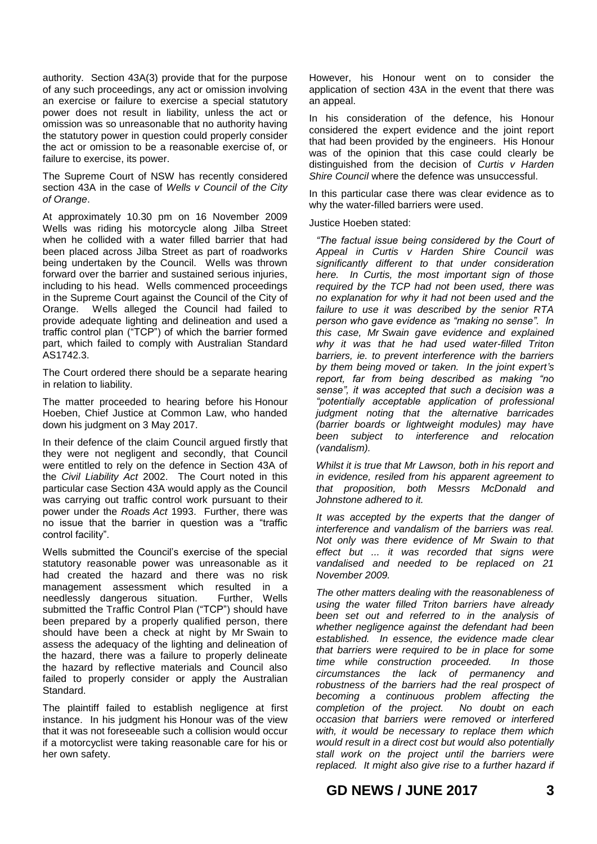authority. Section 43A(3) provide that for the purpose of any such proceedings, any act or omission involving an exercise or failure to exercise a special statutory power does not result in liability, unless the act or omission was so unreasonable that no authority having the statutory power in question could properly consider the act or omission to be a reasonable exercise of, or failure to exercise, its power.

The Supreme Court of NSW has recently considered section 43A in the case of *Wells v Council of the City of Orange*.

At approximately 10.30 pm on 16 November 2009 Wells was riding his motorcycle along Jilba Street when he collided with a water filled barrier that had been placed across Jilba Street as part of roadworks being undertaken by the Council. Wells was thrown forward over the barrier and sustained serious injuries, including to his head. Wells commenced proceedings in the Supreme Court against the Council of the City of Orange. Wells alleged the Council had failed to provide adequate lighting and delineation and used a traffic control plan ("TCP") of which the barrier formed part, which failed to comply with Australian Standard AS1742.3.

The Court ordered there should be a separate hearing in relation to liability.

The matter proceeded to hearing before his Honour Hoeben, Chief Justice at Common Law, who handed down his judgment on 3 May 2017.

In their defence of the claim Council argued firstly that they were not negligent and secondly, that Council were entitled to rely on the defence in Section 43A of the *Civil Liability Act* 2002. The Court noted in this particular case Section 43A would apply as the Council was carrying out traffic control work pursuant to their power under the *Roads Act* 1993. Further, there was no issue that the barrier in question was a "traffic control facility".

Wells submitted the Council's exercise of the special statutory reasonable power was unreasonable as it had created the hazard and there was no risk management assessment which resulted in a needlessly dangerous situation. Further, Wells submitted the Traffic Control Plan ("TCP") should have been prepared by a properly qualified person, there should have been a check at night by Mr Swain to assess the adequacy of the lighting and delineation of the hazard, there was a failure to properly delineate the hazard by reflective materials and Council also failed to properly consider or apply the Australian Standard.

The plaintiff failed to establish negligence at first instance. In his judgment his Honour was of the view that it was not foreseeable such a collision would occur if a motorcyclist were taking reasonable care for his or her own safety.

However, his Honour went on to consider the application of section 43A in the event that there was an appeal.

In his consideration of the defence, his Honour considered the expert evidence and the joint report that had been provided by the engineers. His Honour was of the opinion that this case could clearly be distinguished from the decision of *Curtis v Harden Shire Council* where the defence was unsuccessful.

In this particular case there was clear evidence as to why the water-filled barriers were used.

Justice Hoeben stated:

*"The factual issue being considered by the Court of Appeal in Curtis v Harden Shire Council was significantly different to that under consideration here. In Curtis, the most important sign of those required by the TCP had not been used, there was no explanation for why it had not been used and the failure to use it was described by the senior RTA person who gave evidence as "making no sense". In this case, Mr Swain gave evidence and explained why it was that he had used water-filled Triton barriers, ie. to prevent interference with the barriers by them being moved or taken. In the joint expert's report, far from being described as making "no sense", it was accepted that such a decision was a "potentially acceptable application of professional judgment noting that the alternative barricades (barrier boards or lightweight modules) may have been subject to interference and relocation (vandalism).* 

*Whilst it is true that Mr Lawson, both in his report and in evidence, resiled from his apparent agreement to that proposition, both Messrs McDonald and Johnstone adhered to it.*

*It was accepted by the experts that the danger of interference and vandalism of the barriers was real. Not only was there evidence of Mr Swain to that effect but ... it was recorded that signs were vandalised and needed to be replaced on 21 November 2009.* 

*The other matters dealing with the reasonableness of using the water filled Triton barriers have already been set out and referred to in the analysis of whether negligence against the defendant had been established. In essence, the evidence made clear that barriers were required to be in place for some time while construction proceeded. In those circumstances the lack of permanency and robustness of the barriers had the real prospect of becoming a continuous problem affecting the completion of the project. No doubt on each occasion that barriers were removed or interfered with, it would be necessary to replace them which would result in a direct cost but would also potentially stall work on the project until the barriers were replaced. It might also give rise to a further hazard if*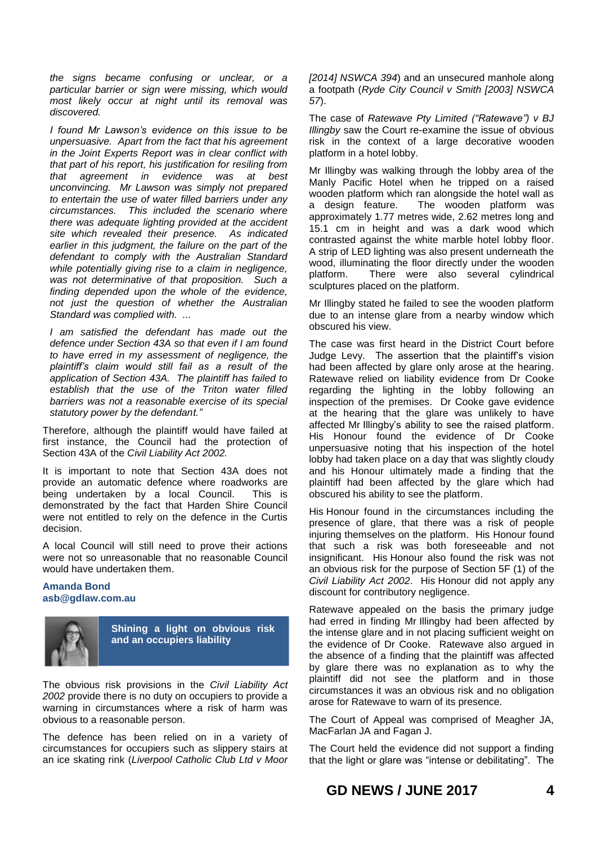*the signs became confusing or unclear, or a particular barrier or sign were missing, which would most likely occur at night until its removal was discovered.*

*I found Mr Lawson's evidence on this issue to be unpersuasive. Apart from the fact that his agreement in the Joint Experts Report was in clear conflict with that part of his report, his justification for resiling from that agreement in evidence was at best unconvincing. Mr Lawson was simply not prepared to entertain the use of water filled barriers under any circumstances. This included the scenario where there was adequate lighting provided at the accident site which revealed their presence. As indicated earlier in this judgment, the failure on the part of the defendant to comply with the Australian Standard while potentially giving rise to a claim in negligence, was not determinative of that proposition. Such a finding depended upon the whole of the evidence, not just the question of whether the Australian Standard was complied with. ...*

*I am satisfied the defendant has made out the defence under Section 43A so that even if I am found to have erred in my assessment of negligence, the plaintiff's claim would still fail as a result of the application of Section 43A. The plaintiff has failed to establish that the use of the Triton water filled barriers was not a reasonable exercise of its special statutory power by the defendant."*

Therefore, although the plaintiff would have failed at first instance, the Council had the protection of Section 43A of the *Civil Liability Act 2002.*

It is important to note that Section 43A does not provide an automatic defence where roadworks are being undertaken by a local Council. This is demonstrated by the fact that Harden Shire Council were not entitled to rely on the defence in the Curtis decision.

A local Council will still need to prove their actions were not so unreasonable that no reasonable Council would have undertaken them.

# **Amanda Bond asb@gdlaw.com.au**



**Shining a light on obvious risk and an occupiers liability**

The obvious risk provisions in the *Civil Liability Act 2002* provide there is no duty on occupiers to provide a warning in circumstances where a risk of harm was obvious to a reasonable person.

The defence has been relied on in a variety of circumstances for occupiers such as slippery stairs at an ice skating rink (*Liverpool Catholic Club Ltd v Moor*  *[2014] NSWCA 394*) and an unsecured manhole along a footpath (*Ryde City Council v Smith [2003] NSWCA 57*).

The case of *Ratewave Pty Limited ("Ratewave") v BJ Illingby* saw the Court re-examine the issue of obvious risk in the context of a large decorative wooden platform in a hotel lobby.

Mr Illingby was walking through the lobby area of the Manly Pacific Hotel when he tripped on a raised wooden platform which ran alongside the hotel wall as a design feature. The wooden platform was approximately 1.77 metres wide, 2.62 metres long and 15.1 cm in height and was a dark wood which contrasted against the white marble hotel lobby floor. A strip of LED lighting was also present underneath the wood, illuminating the floor directly under the wooden platform. There were also several cylindrical sculptures placed on the platform.

Mr Illingby stated he failed to see the wooden platform due to an intense glare from a nearby window which obscured his view.

The case was first heard in the District Court before Judge Levy. The assertion that the plaintiff's vision had been affected by glare only arose at the hearing. Ratewave relied on liability evidence from Dr Cooke regarding the lighting in the lobby following an inspection of the premises. Dr Cooke gave evidence at the hearing that the glare was unlikely to have affected Mr Illingby's ability to see the raised platform. His Honour found the evidence of Dr Cooke unpersuasive noting that his inspection of the hotel lobby had taken place on a day that was slightly cloudy and his Honour ultimately made a finding that the plaintiff had been affected by the glare which had obscured his ability to see the platform.

His Honour found in the circumstances including the presence of glare, that there was a risk of people injuring themselves on the platform. His Honour found that such a risk was both foreseeable and not insignificant. His Honour also found the risk was not an obvious risk for the purpose of Section 5F (1) of the *Civil Liability Act 2002*. His Honour did not apply any discount for contributory negligence.

Ratewave appealed on the basis the primary judge had erred in finding Mr Illingby had been affected by the intense glare and in not placing sufficient weight on the evidence of Dr Cooke. Ratewave also argued in the absence of a finding that the plaintiff was affected by glare there was no explanation as to why the plaintiff did not see the platform and in those circumstances it was an obvious risk and no obligation arose for Ratewave to warn of its presence.

The Court of Appeal was comprised of Meagher JA, MacFarlan JA and Fagan J.

The Court held the evidence did not support a finding that the light or glare was "intense or debilitating". The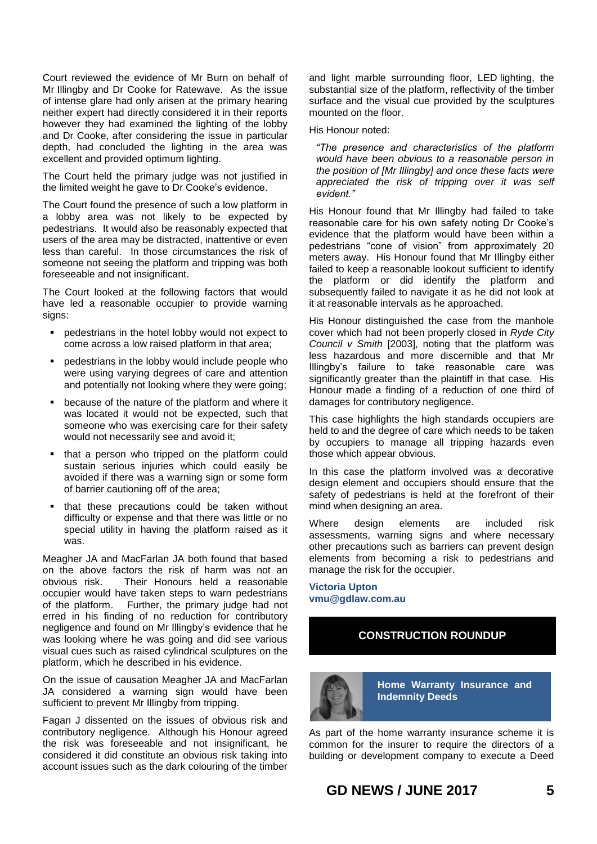Court reviewed the evidence of Mr Burn on behalf of Mr Illingby and Dr Cooke for Ratewave. As the issue of intense glare had only arisen at the primary hearing neither expert had directly considered it in their reports however they had examined the lighting of the lobby and Dr Cooke, after considering the issue in particular depth, had concluded the lighting in the area was excellent and provided optimum lighting.

The Court held the primary judge was not justified in the limited weight he gave to Dr Cooke's evidence.

The Court found the presence of such a low platform in a lobby area was not likely to be expected by pedestrians. It would also be reasonably expected that users of the area may be distracted, inattentive or even less than careful. In those circumstances the risk of someone not seeing the platform and tripping was both foreseeable and not insignificant.

The Court looked at the following factors that would have led a reasonable occupier to provide warning signs:

- pedestrians in the hotel lobby would not expect to come across a low raised platform in that area;
- pedestrians in the lobby would include people who were using varying degrees of care and attention and potentially not looking where they were going;
- because of the nature of the platform and where it was located it would not be expected, such that someone who was exercising care for their safety would not necessarily see and avoid it;
- that a person who tripped on the platform could sustain serious injuries which could easily be avoided if there was a warning sign or some form of barrier cautioning off of the area;
- that these precautions could be taken without difficulty or expense and that there was little or no special utility in having the platform raised as it was.

Meagher JA and MacFarlan JA both found that based on the above factors the risk of harm was not an obvious risk. Their Honours held a reasonable occupier would have taken steps to warn pedestrians of the platform. Further, the primary judge had not erred in his finding of no reduction for contributory negligence and found on Mr Illingby's evidence that he was looking where he was going and did see various visual cues such as raised cylindrical sculptures on the platform, which he described in his evidence.

On the issue of causation Meagher JA and MacFarlan JA considered a warning sign would have been sufficient to prevent Mr Illingby from tripping.

Fagan J dissented on the issues of obvious risk and contributory negligence. Although his Honour agreed the risk was foreseeable and not insignificant, he considered it did constitute an obvious risk taking into account issues such as the dark colouring of the timber

and light marble surrounding floor, LED lighting, the substantial size of the platform, reflectivity of the timber surface and the visual cue provided by the sculptures mounted on the floor.

His Honour noted:

*"The presence and characteristics of the platform would have been obvious to a reasonable person in the position of [Mr Illingby] and once these facts were appreciated the risk of tripping over it was self evident."*

His Honour found that Mr Illingby had failed to take reasonable care for his own safety noting Dr Cooke's evidence that the platform would have been within a pedestrians "cone of vision" from approximately 20 meters away. His Honour found that Mr Illingby either failed to keep a reasonable lookout sufficient to identify the platform or did identify the platform and subsequently failed to navigate it as he did not look at it at reasonable intervals as he approached.

His Honour distinguished the case from the manhole cover which had not been properly closed in *Ryde City Council v Smith* [2003], noting that the platform was less hazardous and more discernible and that Mr Illingby's failure to take reasonable care was significantly greater than the plaintiff in that case. His Honour made a finding of a reduction of one third of damages for contributory negligence.

This case highlights the high standards occupiers are held to and the degree of care which needs to be taken by occupiers to manage all tripping hazards even those which appear obvious.

In this case the platform involved was a decorative design element and occupiers should ensure that the safety of pedestrians is held at the forefront of their mind when designing an area.

Where design elements are included risk assessments, warning signs and where necessary other precautions such as barriers can prevent design elements from becoming a risk to pedestrians and manage the risk for the occupier.

**Victoria Upton vmu@gdlaw.com.au**

# **CONSTRUCTION ROUNDUP**



**Home Warranty Insurance and Indemnity Deeds**

As part of the home warranty insurance scheme it is common for the insurer to require the directors of a building or development company to execute a Deed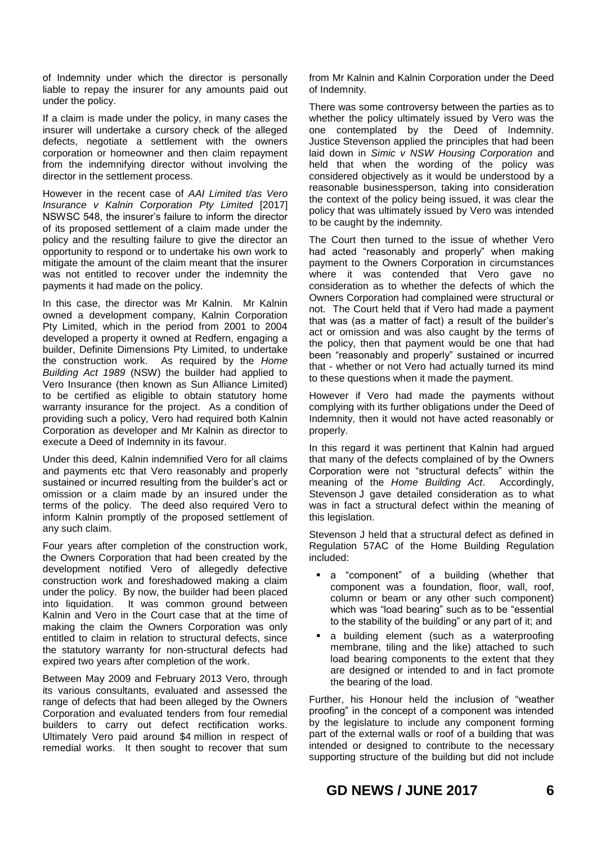of Indemnity under which the director is personally liable to repay the insurer for any amounts paid out under the policy.

If a claim is made under the policy, in many cases the insurer will undertake a cursory check of the alleged defects, negotiate a settlement with the owners corporation or homeowner and then claim repayment from the indemnifying director without involving the director in the settlement process.

However in the recent case of *AAI Limited t/as Vero Insurance v Kalnin Corporation Pty Limited* [2017] NSWSC 548, the insurer's failure to inform the director of its proposed settlement of a claim made under the policy and the resulting failure to give the director an opportunity to respond or to undertake his own work to mitigate the amount of the claim meant that the insurer was not entitled to recover under the indemnity the payments it had made on the policy.

In this case, the director was Mr Kalnin. Mr Kalnin owned a development company, Kalnin Corporation Pty Limited, which in the period from 2001 to 2004 developed a property it owned at Redfern, engaging a builder, Definite Dimensions Pty Limited, to undertake the construction work. As required by the *Home Building Act 1989* (NSW) the builder had applied to Vero Insurance (then known as Sun Alliance Limited) to be certified as eligible to obtain statutory home warranty insurance for the project. As a condition of providing such a policy, Vero had required both Kalnin Corporation as developer and Mr Kalnin as director to execute a Deed of Indemnity in its favour.

Under this deed, Kalnin indemnified Vero for all claims and payments etc that Vero reasonably and properly sustained or incurred resulting from the builder's act or omission or a claim made by an insured under the terms of the policy. The deed also required Vero to inform Kalnin promptly of the proposed settlement of any such claim.

Four years after completion of the construction work, the Owners Corporation that had been created by the development notified Vero of allegedly defective construction work and foreshadowed making a claim under the policy. By now, the builder had been placed into liquidation. It was common ground between Kalnin and Vero in the Court case that at the time of making the claim the Owners Corporation was only entitled to claim in relation to structural defects, since the statutory warranty for non-structural defects had expired two years after completion of the work.

Between May 2009 and February 2013 Vero, through its various consultants, evaluated and assessed the range of defects that had been alleged by the Owners Corporation and evaluated tenders from four remedial builders to carry out defect rectification works. Ultimately Vero paid around \$4 million in respect of remedial works. It then sought to recover that sum

from Mr Kalnin and Kalnin Corporation under the Deed of Indemnity.

There was some controversy between the parties as to whether the policy ultimately issued by Vero was the one contemplated by the Deed of Indemnity. Justice Stevenson applied the principles that had been laid down in *Simic v NSW Housing Corporation* and held that when the wording of the policy was considered objectively as it would be understood by a reasonable businessperson, taking into consideration the context of the policy being issued, it was clear the policy that was ultimately issued by Vero was intended to be caught by the indemnity.

The Court then turned to the issue of whether Vero had acted "reasonably and properly" when making payment to the Owners Corporation in circumstances where it was contended that Vero gave no consideration as to whether the defects of which the Owners Corporation had complained were structural or not. The Court held that if Vero had made a payment that was (as a matter of fact) a result of the builder's act or omission and was also caught by the terms of the policy, then that payment would be one that had been "reasonably and properly" sustained or incurred that - whether or not Vero had actually turned its mind to these questions when it made the payment.

However if Vero had made the payments without complying with its further obligations under the Deed of Indemnity, then it would not have acted reasonably or properly.

In this regard it was pertinent that Kalnin had argued that many of the defects complained of by the Owners Corporation were not "structural defects" within the meaning of the *Home Building Act*. Accordingly, Stevenson J gave detailed consideration as to what was in fact a structural defect within the meaning of this legislation.

Stevenson J held that a structural defect as defined in Regulation 57AC of the Home Building Regulation included:

- a "component" of a building (whether that component was a foundation, floor, wall, roof, column or beam or any other such component) which was "load bearing" such as to be "essential to the stability of the building" or any part of it; and
- a building element (such as a waterproofing membrane, tiling and the like) attached to such load bearing components to the extent that they are designed or intended to and in fact promote the bearing of the load.

Further, his Honour held the inclusion of "weather proofing" in the concept of a component was intended by the legislature to include any component forming part of the external walls or roof of a building that was intended or designed to contribute to the necessary supporting structure of the building but did not include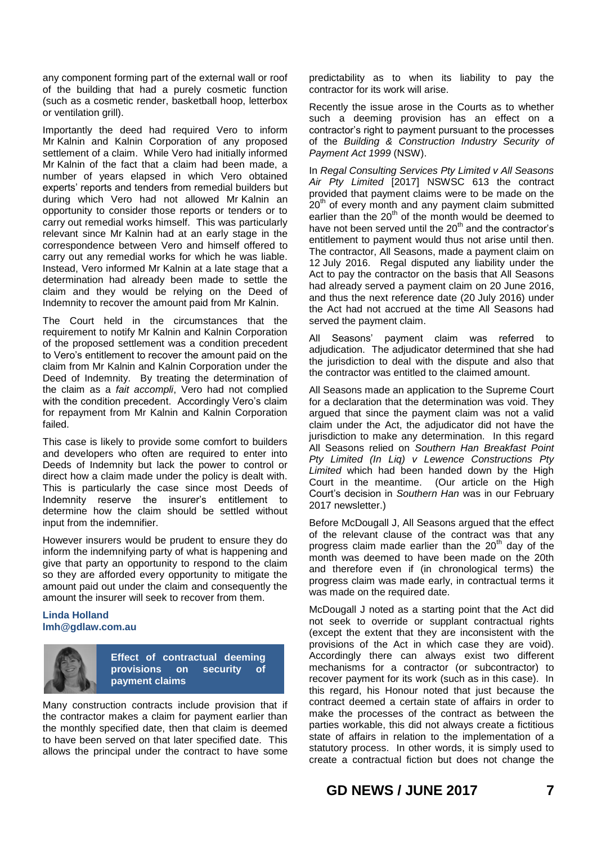any component forming part of the external wall or roof of the building that had a purely cosmetic function (such as a cosmetic render, basketball hoop, letterbox or ventilation grill).

Importantly the deed had required Vero to inform Mr Kalnin and Kalnin Corporation of any proposed settlement of a claim. While Vero had initially informed Mr Kalnin of the fact that a claim had been made, a number of years elapsed in which Vero obtained experts' reports and tenders from remedial builders but during which Vero had not allowed Mr Kalnin an opportunity to consider those reports or tenders or to carry out remedial works himself. This was particularly relevant since Mr Kalnin had at an early stage in the correspondence between Vero and himself offered to carry out any remedial works for which he was liable. Instead, Vero informed Mr Kalnin at a late stage that a determination had already been made to settle the claim and they would be relying on the Deed of Indemnity to recover the amount paid from Mr Kalnin.

The Court held in the circumstances that the requirement to notify Mr Kalnin and Kalnin Corporation of the proposed settlement was a condition precedent to Vero's entitlement to recover the amount paid on the claim from Mr Kalnin and Kalnin Corporation under the Deed of Indemnity. By treating the determination of the claim as a *fait accompli*, Vero had not complied with the condition precedent. Accordingly Vero's claim for repayment from Mr Kalnin and Kalnin Corporation failed.

This case is likely to provide some comfort to builders and developers who often are required to enter into Deeds of Indemnity but lack the power to control or direct how a claim made under the policy is dealt with. This is particularly the case since most Deeds of Indemnity reserve the insurer's entitlement to determine how the claim should be settled without input from the indemnifier.

However insurers would be prudent to ensure they do inform the indemnifying party of what is happening and give that party an opportunity to respond to the claim so they are afforded every opportunity to mitigate the amount paid out under the claim and consequently the amount the insurer will seek to recover from them.

# **Linda Holland lmh@gdlaw.com.au**



**Effect of contractual deeming provisions on security of payment claims**

Many construction contracts include provision that if the contractor makes a claim for payment earlier than the monthly specified date, then that claim is deemed to have been served on that later specified date. This allows the principal under the contract to have some

predictability as to when its liability to pay the contractor for its work will arise.

Recently the issue arose in the Courts as to whether such a deeming provision has an effect on a contractor's right to payment pursuant to the processes of the *Building & Construction Industry Security of Payment Act 1999* (NSW).

In *Regal Consulting Services Pty Limited v All Seasons Air Pty Limited* [2017] NSWSC 613 the contract provided that payment claims were to be made on the  $20<sup>th</sup>$  of every month and any payment claim submitted earlier than the  $20<sup>th</sup>$  of the month would be deemed to have not been served until the  $20<sup>th</sup>$  and the contractor's entitlement to payment would thus not arise until then. The contractor, All Seasons, made a payment claim on 12 July 2016. Regal disputed any liability under the Act to pay the contractor on the basis that All Seasons had already served a payment claim on 20 June 2016, and thus the next reference date (20 July 2016) under the Act had not accrued at the time All Seasons had served the payment claim.

All Seasons' payment claim was referred to adjudication. The adjudicator determined that she had the jurisdiction to deal with the dispute and also that the contractor was entitled to the claimed amount.

All Seasons made an application to the Supreme Court for a declaration that the determination was void. They argued that since the payment claim was not a valid claim under the Act, the adjudicator did not have the jurisdiction to make any determination. In this regard All Seasons relied on *Southern Han Breakfast Point Pty Limited (In Liq) v Lewence Constructions Pty Limited* which had been handed down by the High Court in the meantime. (Our article on the High Court's decision in *Southern Han* was in our February 2017 newsletter.)

Before McDougall J, All Seasons argued that the effect of the relevant clause of the contract was that any progress claim made earlier than the  $20<sup>th</sup>$  dav of the month was deemed to have been made on the 20th and therefore even if (in chronological terms) the progress claim was made early, in contractual terms it was made on the required date.

McDougall J noted as a starting point that the Act did not seek to override or supplant contractual rights (except the extent that they are inconsistent with the provisions of the Act in which case they are void). Accordingly there can always exist two different mechanisms for a contractor (or subcontractor) to recover payment for its work (such as in this case). In this regard, his Honour noted that just because the contract deemed a certain state of affairs in order to make the processes of the contract as between the parties workable, this did not always create a fictitious state of affairs in relation to the implementation of a statutory process. In other words, it is simply used to create a contractual fiction but does not change the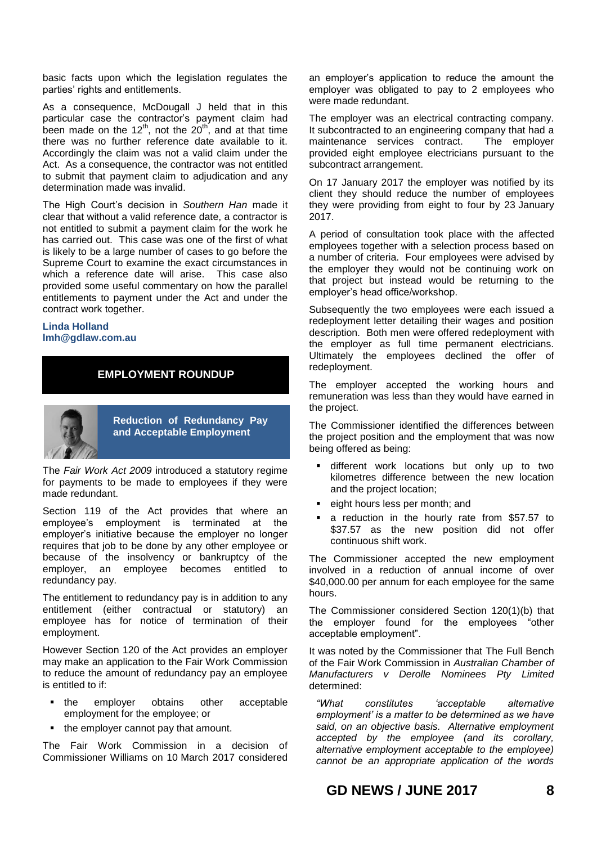basic facts upon which the legislation regulates the parties' rights and entitlements.

As a consequence, McDougall J held that in this particular case the contractor's payment claim had been made on the  $12<sup>th</sup>$ , not the  $20<sup>th</sup>$ , and at that time there was no further reference date available to it. Accordingly the claim was not a valid claim under the Act. As a consequence, the contractor was not entitled to submit that payment claim to adjudication and any determination made was invalid.

The High Court's decision in *Southern Han* made it clear that without a valid reference date, a contractor is not entitled to submit a payment claim for the work he has carried out. This case was one of the first of what is likely to be a large number of cases to go before the Supreme Court to examine the exact circumstances in which a reference date will arise. This case also provided some useful commentary on how the parallel entitlements to payment under the Act and under the contract work together.

# **Linda Holland lmh@gdlaw.com.au**

# **EMPLOYMENT ROUNDUP**



**and Acceptable Employment** 

The *Fair Work Act 2009* introduced a statutory regime for payments to be made to employees if they were made redundant.

Section 119 of the Act provides that where an employee's employment is terminated at the employer's initiative because the employer no longer requires that job to be done by any other employee or because of the insolvency or bankruptcy of the employer, an employee becomes entitled to redundancy pay.

The entitlement to redundancy pay is in addition to any entitlement (either contractual or statutory) an employee has for notice of termination of their employment.

However Section 120 of the Act provides an employer may make an application to the Fair Work Commission to reduce the amount of redundancy pay an employee is entitled to if:

- the employer obtains other acceptable employment for the employee; or
- the employer cannot pay that amount.

The Fair Work Commission in a decision of Commissioner Williams on 10 March 2017 considered

an employer's application to reduce the amount the employer was obligated to pay to 2 employees who were made redundant.

The employer was an electrical contracting company. It subcontracted to an engineering company that had a maintenance services contract. The employer provided eight employee electricians pursuant to the subcontract arrangement.

On 17 January 2017 the employer was notified by its client they should reduce the number of employees they were providing from eight to four by 23 January 2017.

A period of consultation took place with the affected employees together with a selection process based on a number of criteria. Four employees were advised by the employer they would not be continuing work on that project but instead would be returning to the employer's head office/workshop.

Subsequently the two employees were each issued a redeployment letter detailing their wages and position description. Both men were offered redeployment with the employer as full time permanent electricians. Ultimately the employees declined the offer of redeployment.

The employer accepted the working hours and remuneration was less than they would have earned in the project.

the project.<br>**Reduction of Redundancy Pay The Commissioner identified the differences between** the project position and the employment that was now being offered as being:

- different work locations but only up to two kilometres difference between the new location and the project location;
- eight hours less per month; and
- a reduction in the hourly rate from \$57.57 to \$37.57 as the new position did not offer continuous shift work.

The Commissioner accepted the new employment involved in a reduction of annual income of over \$40,000.00 per annum for each employee for the same hours.

The Commissioner considered Section 120(1)(b) that the employer found for the employees "other acceptable employment".

It was noted by the Commissioner that The Full Bench of the Fair Work Commission in *Australian Chamber of Manufacturers v Derolle Nominees Pty Limited* determined:

*"What constitutes 'acceptable alternative employment' is a matter to be determined as we have said, on an objective basis. Alternative employment accepted by the employee (and its corollary, alternative employment acceptable to the employee) cannot be an appropriate application of the words* 

**GD NEWS / JUNE 2017 8**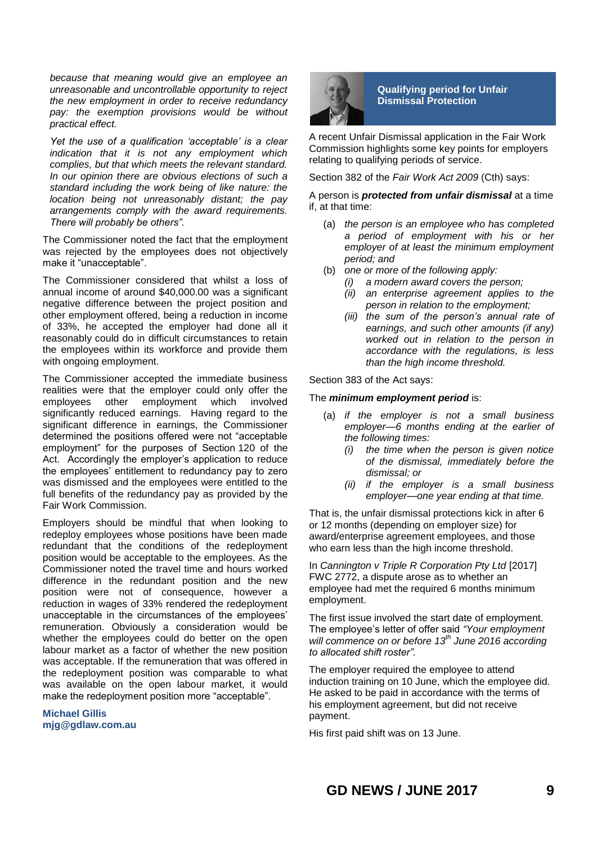*because that meaning would give an employee an unreasonable and uncontrollable opportunity to reject the new employment in order to receive redundancy pay: the exemption provisions would be without practical effect.*

*Yet the use of a qualification 'acceptable' is a clear indication that it is not any employment which complies, but that which meets the relevant standard. In our opinion there are obvious elections of such a standard including the work being of like nature: the location being not unreasonably distant; the pay arrangements comply with the award requirements. There will probably be others".*

The Commissioner noted the fact that the employment was rejected by the employees does not objectively make it "unacceptable".

The Commissioner considered that whilst a loss of annual income of around \$40,000.00 was a significant negative difference between the project position and other employment offered, being a reduction in income of 33%, he accepted the employer had done all it reasonably could do in difficult circumstances to retain the employees within its workforce and provide them with ongoing employment.

The Commissioner accepted the immediate business realities were that the employer could only offer the employees other employment which involved significantly reduced earnings. Having regard to the significant difference in earnings, the Commissioner determined the positions offered were not "acceptable employment" for the purposes of Section 120 of the Act. Accordingly the employer's application to reduce the employees' entitlement to redundancy pay to zero was dismissed and the employees were entitled to the full benefits of the redundancy pay as provided by the Fair Work Commission.

Employers should be mindful that when looking to redeploy employees whose positions have been made redundant that the conditions of the redeployment position would be acceptable to the employees. As the Commissioner noted the travel time and hours worked difference in the redundant position and the new position were not of consequence, however a reduction in wages of 33% rendered the redeployment unacceptable in the circumstances of the employees' remuneration. Obviously a consideration would be whether the employees could do better on the open labour market as a factor of whether the new position was acceptable. If the remuneration that was offered in the redeployment position was comparable to what was available on the open labour market, it would make the redeployment position more "acceptable".

**Michael Gillis mjg@gdlaw.com.au**



**Qualifying period for Unfair Dismissal Protection**

A recent Unfair Dismissal application in the Fair Work Commission highlights some key points for employers relating to qualifying periods of service.

Section 382 of the *Fair Work Act 2009* (Cth) says:

A person is *protected from unfair dismissal* at a time if, at that time:

- (a) *the person is an employee who has completed a period of employment with his or her employer of at least the minimum employment period; and*
- (b) *one or more of the following apply:*
	- *(i) a modern award covers the person;*
	- *(ii) an enterprise agreement applies to the person in relation to the employment;*
	- *(iii) the sum of the person's annual rate of earnings, and such other amounts (if any) worked out in relation to the person in accordance with the regulations, is less than the high income threshold.*

Section 383 of the Act says:

# The *minimum employment period* is:

- (a) *if the employer is not a small business employer—6 months ending at the earlier of the following times:*
	- *(i) the time when the person is given notice of the dismissal, immediately before the dismissal; or*
	- *(ii) if the employer is a small business employer—one year ending at that time.*

That is, the unfair dismissal protections kick in after 6 or 12 months (depending on employer size) for award/enterprise agreement employees, and those who earn less than the high income threshold.

In *Cannington v Triple R Corporation Pty Ltd* [2017] FWC 2772, a dispute arose as to whether an employee had met the required 6 months minimum employment.

The first issue involved the start date of employment. The employee's letter of offer said *"Your employment will commence on or before 13th June 2016 according to allocated shift roster".*

The employer required the employee to attend induction training on 10 June, which the employee did. He asked to be paid in accordance with the terms of his employment agreement, but did not receive payment.

His first paid shift was on 13 June.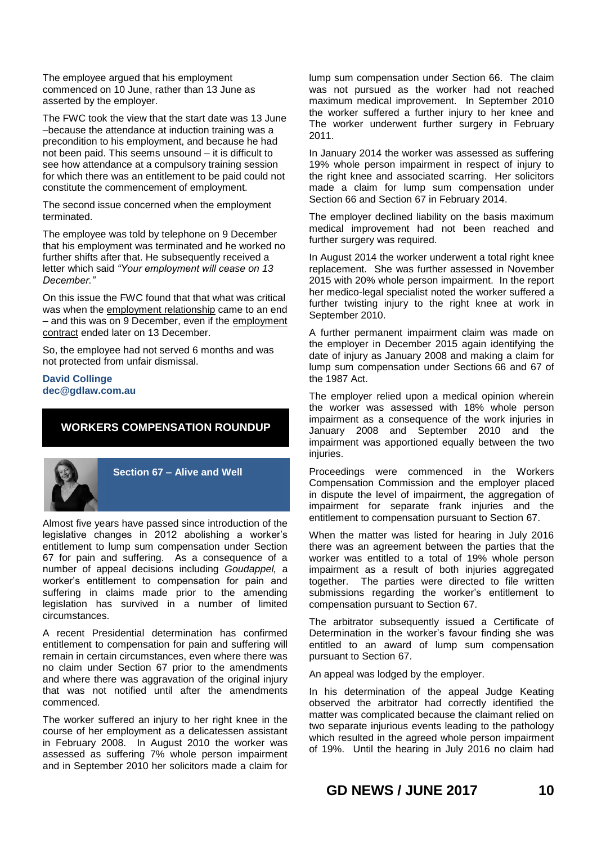The employee argued that his employment commenced on 10 June, rather than 13 June as asserted by the employer.

The FWC took the view that the start date was 13 June –because the attendance at induction training was a precondition to his employment, and because he had not been paid. This seems unsound – it is difficult to see how attendance at a compulsory training session for which there was an entitlement to be paid could not constitute the commencement of employment.

The second issue concerned when the employment terminated.

The employee was told by telephone on 9 December that his employment was terminated and he worked no further shifts after that. He subsequently received a letter which said *"Your employment will cease on 13 December."*

On this issue the FWC found that that what was critical was when the employment relationship came to an end – and this was on 9 December, even if the employment contract ended later on 13 December.

So, the employee had not served 6 months and was not protected from unfair dismissal.

**David Collinge dec@gdlaw.com.au**

# **WORKERS COMPENSATION ROUNDUP**



# **Section 67 – Alive and Well**

Almost five years have passed since introduction of the legislative changes in 2012 abolishing a worker's entitlement to lump sum compensation under Section 67 for pain and suffering. As a consequence of a number of appeal decisions including *Goudappel,* a worker's entitlement to compensation for pain and suffering in claims made prior to the amending legislation has survived in a number of limited circumstances.

A recent Presidential determination has confirmed entitlement to compensation for pain and suffering will remain in certain circumstances, even where there was no claim under Section 67 prior to the amendments and where there was aggravation of the original injury that was not notified until after the amendments commenced.

The worker suffered an injury to her right knee in the course of her employment as a delicatessen assistant in February 2008. In August 2010 the worker was assessed as suffering 7% whole person impairment and in September 2010 her solicitors made a claim for

lump sum compensation under Section 66. The claim was not pursued as the worker had not reached maximum medical improvement. In September 2010 the worker suffered a further injury to her knee and The worker underwent further surgery in February 2011.

In January 2014 the worker was assessed as suffering 19% whole person impairment in respect of injury to the right knee and associated scarring. Her solicitors made a claim for lump sum compensation under Section 66 and Section 67 in February 2014.

The employer declined liability on the basis maximum medical improvement had not been reached and further surgery was required.

In August 2014 the worker underwent a total right knee replacement. She was further assessed in November 2015 with 20% whole person impairment. In the report her medico-legal specialist noted the worker suffered a further twisting injury to the right knee at work in September 2010.

A further permanent impairment claim was made on the employer in December 2015 again identifying the date of injury as January 2008 and making a claim for lump sum compensation under Sections 66 and 67 of the 1987 Act.

The employer relied upon a medical opinion wherein the worker was assessed with 18% whole person impairment as a consequence of the work injuries in January 2008 and September 2010 and the impairment was apportioned equally between the two injuries.

Proceedings were commenced in the Workers Compensation Commission and the employer placed in dispute the level of impairment, the aggregation of impairment for separate frank injuries and the entitlement to compensation pursuant to Section 67.

When the matter was listed for hearing in July 2016 there was an agreement between the parties that the worker was entitled to a total of 19% whole person impairment as a result of both injuries aggregated together. The parties were directed to file written submissions regarding the worker's entitlement to compensation pursuant to Section 67.

The arbitrator subsequently issued a Certificate of Determination in the worker's favour finding she was entitled to an award of lump sum compensation pursuant to Section 67.

An appeal was lodged by the employer.

In his determination of the appeal Judge Keating observed the arbitrator had correctly identified the matter was complicated because the claimant relied on two separate injurious events leading to the pathology which resulted in the agreed whole person impairment of 19%. Until the hearing in July 2016 no claim had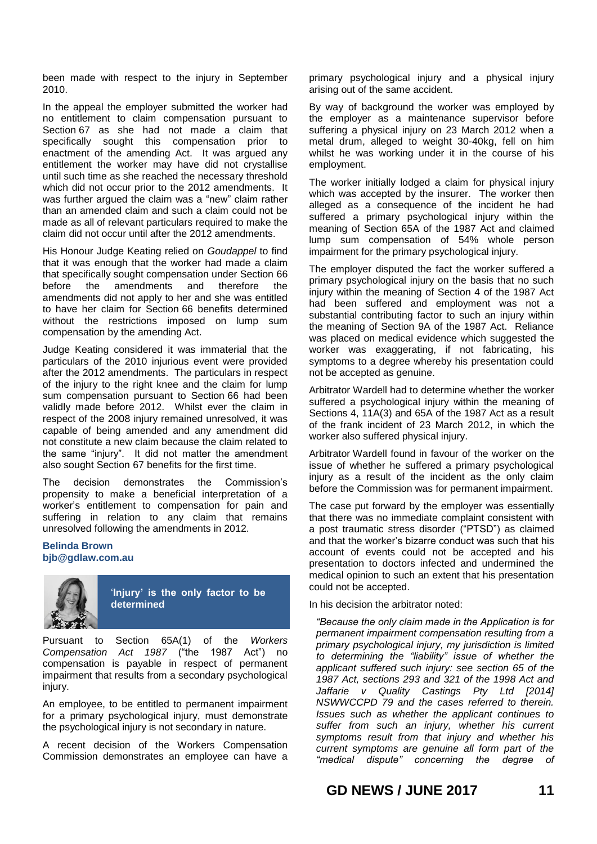been made with respect to the injury in September 2010.

In the appeal the employer submitted the worker had no entitlement to claim compensation pursuant to Section 67 as she had not made a claim that specifically sought this compensation prior to enactment of the amending Act. It was argued any entitlement the worker may have did not crystallise until such time as she reached the necessary threshold which did not occur prior to the 2012 amendments. It was further argued the claim was a "new" claim rather than an amended claim and such a claim could not be made as all of relevant particulars required to make the claim did not occur until after the 2012 amendments.

His Honour Judge Keating relied on *Goudappel* to find that it was enough that the worker had made a claim that specifically sought compensation under Section 66 before the amendments and therefore the amendments did not apply to her and she was entitled to have her claim for Section 66 benefits determined without the restrictions imposed on lump sum compensation by the amending Act.

Judge Keating considered it was immaterial that the particulars of the 2010 injurious event were provided after the 2012 amendments. The particulars in respect of the injury to the right knee and the claim for lump sum compensation pursuant to Section 66 had been validly made before 2012. Whilst ever the claim in respect of the 2008 injury remained unresolved, it was capable of being amended and any amendment did not constitute a new claim because the claim related to the same "injury". It did not matter the amendment also sought Section 67 benefits for the first time.

The decision demonstrates the Commission's propensity to make a beneficial interpretation of a worker's entitlement to compensation for pain and suffering in relation to any claim that remains unresolved following the amendments in 2012.

## **Belinda Brown bjb@gdlaw.com.au**



'**Injury' is the only factor to be determined**

Pursuant to Section 65A(1) of the *Workers Compensation Act 1987* ("the 1987 Act") no compensation is payable in respect of permanent impairment that results from a secondary psychological injury.

An employee, to be entitled to permanent impairment for a primary psychological injury, must demonstrate the psychological injury is not secondary in nature.

A recent decision of the Workers Compensation Commission demonstrates an employee can have a

primary psychological injury and a physical injury arising out of the same accident.

By way of background the worker was employed by the employer as a maintenance supervisor before suffering a physical injury on 23 March 2012 when a metal drum, alleged to weight 30-40kg, fell on him whilst he was working under it in the course of his employment.

The worker initially lodged a claim for physical injury which was accepted by the insurer. The worker then alleged as a consequence of the incident he had suffered a primary psychological injury within the meaning of Section 65A of the 1987 Act and claimed lump sum compensation of 54% whole person impairment for the primary psychological injury.

The employer disputed the fact the worker suffered a primary psychological injury on the basis that no such injury within the meaning of Section 4 of the 1987 Act had been suffered and employment was not a substantial contributing factor to such an injury within the meaning of Section 9A of the 1987 Act. Reliance was placed on medical evidence which suggested the worker was exaggerating, if not fabricating, his symptoms to a degree whereby his presentation could not be accepted as genuine.

Arbitrator Wardell had to determine whether the worker suffered a psychological injury within the meaning of Sections 4, 11A(3) and 65A of the 1987 Act as a result of the frank incident of 23 March 2012, in which the worker also suffered physical injury.

Arbitrator Wardell found in favour of the worker on the issue of whether he suffered a primary psychological injury as a result of the incident as the only claim before the Commission was for permanent impairment.

The case put forward by the employer was essentially that there was no immediate complaint consistent with a post traumatic stress disorder ("PTSD") as claimed and that the worker's bizarre conduct was such that his account of events could not be accepted and his presentation to doctors infected and undermined the medical opinion to such an extent that his presentation could not be accepted.

In his decision the arbitrator noted:

*"Because the only claim made in the Application is for permanent impairment compensation resulting from a primary psychological injury, my jurisdiction is limited to determining the "liability" issue of whether the applicant suffered such injury: see section 65 of the 1987 Act, sections 293 and 321 of the 1998 Act and Jaffarie v Quality Castings Pty Ltd [2014] NSWWCCPD 79 and the cases referred to therein. Issues such as whether the applicant continues to suffer from such an injury, whether his current symptoms result from that injury and whether his current symptoms are genuine all form part of the "medical dispute" concerning the degree of* 

**GD NEWS / JUNE 2017 11**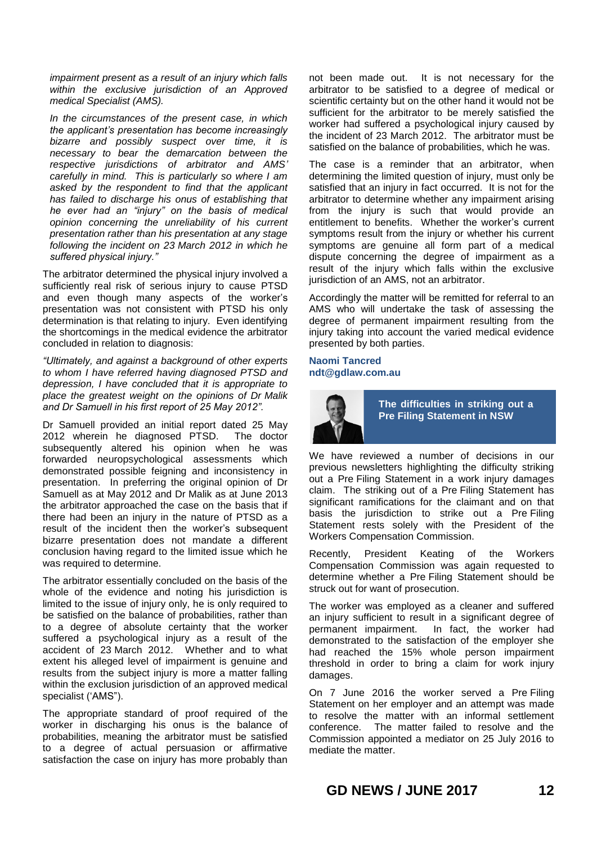*impairment present as a result of an injury which falls within the exclusive jurisdiction of an Approved medical Specialist (AMS).*

*In the circumstances of the present case, in which the applicant's presentation has become increasingly bizarre and possibly suspect over time, it is necessary to bear the demarcation between the respective jurisdictions of arbitrator and AMS' carefully in mind. This is particularly so where I am asked by the respondent to find that the applicant has failed to discharge his onus of establishing that he ever had an "injury" on the basis of medical opinion concerning the unreliability of his current presentation rather than his presentation at any stage following the incident on 23 March 2012 in which he suffered physical injury."*

The arbitrator determined the physical injury involved a sufficiently real risk of serious injury to cause PTSD and even though many aspects of the worker's presentation was not consistent with PTSD his only determination is that relating to injury. Even identifying the shortcomings in the medical evidence the arbitrator concluded in relation to diagnosis:

*"Ultimately, and against a background of other experts to whom I have referred having diagnosed PTSD and depression, I have concluded that it is appropriate to place the greatest weight on the opinions of Dr Malik and Dr Samuell in his first report of 25 May 2012".*

Dr Samuell provided an initial report dated 25 May 2012 wherein he diagnosed PTSD. The doctor subsequently altered his opinion when he was forwarded neuropsychological assessments which demonstrated possible feigning and inconsistency in presentation. In preferring the original opinion of Dr Samuell as at May 2012 and Dr Malik as at June 2013 the arbitrator approached the case on the basis that if there had been an injury in the nature of PTSD as a result of the incident then the worker's subsequent bizarre presentation does not mandate a different conclusion having regard to the limited issue which he was required to determine.

The arbitrator essentially concluded on the basis of the whole of the evidence and noting his jurisdiction is limited to the issue of injury only, he is only required to be satisfied on the balance of probabilities, rather than to a degree of absolute certainty that the worker suffered a psychological injury as a result of the accident of 23 March 2012. Whether and to what extent his alleged level of impairment is genuine and results from the subject injury is more a matter falling within the exclusion jurisdiction of an approved medical specialist ('AMS").

The appropriate standard of proof required of the worker in discharging his onus is the balance of probabilities, meaning the arbitrator must be satisfied to a degree of actual persuasion or affirmative satisfaction the case on injury has more probably than not been made out. It is not necessary for the arbitrator to be satisfied to a degree of medical or scientific certainty but on the other hand it would not be sufficient for the arbitrator to be merely satisfied the worker had suffered a psychological injury caused by the incident of 23 March 2012. The arbitrator must be satisfied on the balance of probabilities, which he was.

The case is a reminder that an arbitrator, when determining the limited question of injury, must only be satisfied that an injury in fact occurred. It is not for the arbitrator to determine whether any impairment arising from the injury is such that would provide an entitlement to benefits. Whether the worker's current symptoms result from the injury or whether his current symptoms are genuine all form part of a medical dispute concerning the degree of impairment as a result of the injury which falls within the exclusive jurisdiction of an AMS, not an arbitrator.

Accordingly the matter will be remitted for referral to an AMS who will undertake the task of assessing the degree of permanent impairment resulting from the injury taking into account the varied medical evidence presented by both parties.

# **Naomi Tancred ndt@gdlaw.com.au**



**The difficulties in striking out a Pre Filing Statement in NSW** 

We have reviewed a number of decisions in our previous newsletters highlighting the difficulty striking out a Pre Filing Statement in a work injury damages claim. The striking out of a Pre Filing Statement has significant ramifications for the claimant and on that basis the jurisdiction to strike out a Pre Filing Statement rests solely with the President of the Workers Compensation Commission.

Recently, President Keating of the Workers Compensation Commission was again requested to determine whether a Pre Filing Statement should be struck out for want of prosecution.

The worker was employed as a cleaner and suffered an injury sufficient to result in a significant degree of permanent impairment. In fact, the worker had demonstrated to the satisfaction of the employer she had reached the 15% whole person impairment threshold in order to bring a claim for work injury damages.

On 7 June 2016 the worker served a Pre Filing Statement on her employer and an attempt was made to resolve the matter with an informal settlement conference. The matter failed to resolve and the Commission appointed a mediator on 25 July 2016 to mediate the matter.